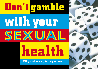# **Don't gamble**

**with your SEXUAL** SEXUAL

# **health**

**• Why a check up is important •**

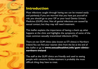

# **Introduction**

Most infections caught through having sex can be treated easily and painlessly. If you are worried that you have put yourself at risk, you should go to your GP or your local Genito Urinary Medicine (GUM) clinic. Not all genital infections are caused by sexual contact, but they may still need treatment.

This leaflet explains the importance of having a check up, what happens at the clinic and highlights the symptoms of some of the most common sexually transmitted infections (STIs).

There are ten GUM clinics (also known as STI clinics) in Northern Ireland. You can find your nearest clinic from the list at the end of this leaflet or go to **www.sexualhealthni.info/gum-clinicsnorthern-ireland**

The staff at the GUM clinics are friendly and used to seeing people with concerns. Embarrassment is probably the most difficult thing they have to treat.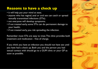# **Reasons to have a check up**

- it will help put your mind at ease;
- anyone who has vaginal, anal or oral sex can catch or spread sexually transmitted infections (STIs);
- not everyone will develop symptoms;
- if not treated early, some STIs can do permanent damage to your health;
- if not treated early, you risk spreading the infection.

Remember most STIs are easy to treat. The clinic provides both treatment and medication - free of charge.

If you think you have an infection you should not have sex until you have had a check up. Both you and the person you had sexual contact with should go to a GUM clinic or your GP as soon as possible.

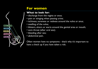# **For women**

## **What to look for:**

- discharge from the vagina or anus;
- pain or stinging when passing urine;
- itchiness, soreness or redness around the vulva or anus;
- swelling of the vulva;
- blisters, ulcers or warts around the genital area or mouth;
- sore throat (after oral sex);
- bleeding after sex;
- abdominal pain.

Often women have no symptoms - that's why it's important to have a check up if you have taken a risk.

**RECTUM CERVIX ANUS VAGINA VULVA . . . . .**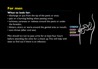# **For men**

## **What to look for:**

- discharge or pus from the tip of the penis or anus;
- pain or a burning feeling when passing urine;
- itchiness, soreness or redness around the penis or under the foreskin;
- blisters, ulcers or warts around the genital area or mouth;

**.**

**. . .**

**RECTUM ANUS PENIS TESTICLES** 

• sore throat (after oral sex).

Men should try not to pass urine for at least four hours before attending the clinic for a check up. This will help with tests to find out if there is an infection.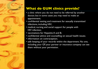# **What do GUM clinics provide?**

- a clinic where you do not need to be referred by another doctor, but in some cases you may need to make an appointment;
- confidential testing and treatment for sexually transmitted infections, including HIV;
- medical, nursing and social support for people with HIV infection;
- vaccinations for Hepatitis A and B;
- confidential advice and counselling on sexual health issues;
- information on contraception;
- safe keeping of your records within the department. No one, including your GP, your partner or insurance company can see them without your permission.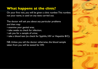# **What happens at the clinic?**

On your first visit, you will be given a clinic number. This number, not your name, is used on any tests carried out.

The doctor will ask you about any particular problems and then may:

- examine your genital area;
- take swabs to check for infection;
- ask you for a sample of urine;
- take a blood test (to check for Syphilis, HIV or Hepatitis B/C);

NB. Unless you tell the doctor otherwise, the blood sample taken from you will be tested for HIV.

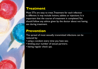

# **Treatment**

Most STIs are easy to treat. Treatment for each infection is different. It may include lotions, tablets or injections. It is important that the course of treatment is completed. You should follow any advice given by the doctor about not having sex during treatment.

# **Prevention**

The spread of most sexually transmitted infections can be reduced by:

- using a condom every time you have sex;
- limiting your number of sexual partners;
- having regular check ups.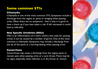# **Some common STIs**

## **Chlamydia**

Chlamydia is one of the most common STIs. Symptoms include a discharge from the vagina or penis or stinging when passing urine. Often there are no symptoms - that is why it is good to have a check up if you have taken a risk. If left untreated it could lead to infertility.

## **Non Specific Urethritis (NSU)**

NSU is an inflammation of a man's urethra (the tube for passing urine). It can be caused by a number of germs. One of the most common is chlamydia. Symptoms may include a discharge from the tip of the penis or a burning feeling when passing urine.

## **Gonorrhoea**

Gonorrhoea may cause a discharge from the vagina, penis or rectum, pain when passing urine or a sore throat. There may be no signs, especially when infection is in the throat or rectum.

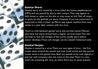

## **Genital Warts**

Genital warts are caused by a virus called the human papillomavirus (HPV) and are passed by skin to skin contact. They may appear as little lumps or spots on the skin or may cause an itch. Not all lumps or spots on the genitals are warts. However, if you are concerned, it's important to have a check up. Warts may appear anytime from two weeks to a year after contact with the virus.

There is a link between genital warts and cervical cancer. Women who have had warts should have a regular cervical smear. This test can help to find cell changes of the cervix usually years before cancer develops. These cell changes can be treated if detected early.

## **Genital Herpes**

Herpes is caused by a virus. There are two types of virus - the first causes sores around the mouth and nose (cold sores) and the second causes sores in the genital area. Both are passed on by oral, vaginal or anal sex with someone who has sores at the time. There is a very small risk of passing the virus on when there are no sores present.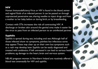## **HIV**

Human Immunodeficiency Virus or HIV is found in the blood, semen and vaginal fluids of an infected person. It can be passed on through unprotected penetrative sex, sharing needles to inject drugs and from a mother to her baby before or during birth, or by breastfeeding.

Contact with STIs increases the risk of contracting HIV. A discharge or broken skin around the genital area make it easier for the virus to pass from an infected person to an uninfected partner.

## **Syphilis**

Syphilis is spread during sex, including oral sex. Although half of those infected show no symptoms, painless but infectious sores may appear. These may clear up on their own but symptoms such as a rash may develop later. Syphilis can be easily diagnosed and treated with antibiotics. If left untreated it can lead to serious health problems, eg damage to the heart, brain and nervous system.

NB. All pregnant women in Northern Ireland are routinely offered a blood test antenatally for HIV and syphilis.

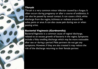## **Thrush**

Thrush is a very common minor infection caused by a fungus. It often occurs during pregnancy or after a course of antibiotics. It can also be passed by sexual contact. It can cause a thick, white discharge from the vagina, itchiness or redness around the vulva, penis or anus. It can also cause pain during sex or when passing urine.

## **Bacterial Vaginosis (Gardnerella)**

Bacterial Vaginosis is a common cause of vaginal discharge, related to an excess growth of bacteria in the vagina. Symptoms include a fishy smelling discharge which may be more noticeable after sex or during a period. Male partners do not get any symptoms. However, if they are also treated it may reduce the risk of the discharge returning to their female partner.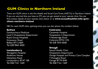# **GUM Clinics in Northern Ireland**

There are GUM clinics in the five Health and Social Care Trusts (HSCTs) in Northern Ireland. If you are worried that you have an STI, you can get tested at your nearest clinic. You can find contact details of your nearest clinic below or at **www.sexualhealthni.info/gumclinics-northern-ireland**

NB. For each GUM clinic opening times, you can also phone the numbers below.

#### **Belfast**

Genitourinary Medicine Level 3 Outpatients Department Royal Group Hospitals Grosvenor Road Belfast BT12 6BA Tel: 028 9063 4050

#### **Londonderry**

Altnagelvin Hospital Anderson House Glenshane Road Londonderry BT47 1SB Tel: 028 7161 1269

#### **Coleraine**

Causeway Hospital Outpatients 2 Department 4 Newbridge Road Coleraine BT52 1HS Tel: 028 7034 6028

## **Omagh**

Sexual Health Clinic Outpatients Department Omagh Hospital and Primary Care Complex 7 Donaghie Road Omagh BT79 0NR Tel: 028 7161 1269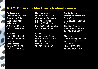# **GUM Clinics in Northern Ireland continued**

#### **Ballymena**

Ground Floor South Braid Valley Buildin Cushendall Road Ballymena Antrim BT43 6HL Tel: 028 7034 6028

#### **Bangor**

Sexual Health clinic Bangor Community **Hospital** Castle Street Bangor BT20 4TA Tel: 028 4483 8133

#### **Downpatrick**

Sexual Health Clinic Outpatients Department Downe Hospital 2 Struell Wells Road Downpatrick BT30 6RL Tel: 028 4483 8133

#### **Lisburn**

Sexual Health Clinic Lisburn Health Centre Linenhall Street Lisburn BT28 1LU Tel: 028 4483 8133

#### **Portadown**

Portadown Health and Care Centre Clinical Zone, Ground Floor Tavanagh Avenue Portadown BT62 3BE Tel: 028 3756 2080

#### **Newry**

Genitourinary Medicine John Mitchell Place Hill Street Newry BT34 2BU Tel: 028 3756 2080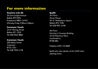# **For more information**

### **Positive Life NI**

20 Derryvolgie Avenue Belfast BT9 6FN Freephone 0800 137437 (Monday-Friday 9.00am-5.00pm)

#### **Common Youth**

23-31 Waring Street Belfast BT1 2DX Tel: 028 9032 8866

#### **Common Youth**

20b Abbey Street Coleraine BT52 1DU Tel: 028 7034 2178

### **fpaNI**

3rd Floor Ascot House 24–31 Shaftesbury Square Belfast BT2 7DB Tel: 028 9031 6100

4th Floor Northern Counties Building 22-24 Waterloo Place Londonderry BT48 6BU

Helpline: 0345 122 8687

fpaNI also have details of the GUM clinic opening times.